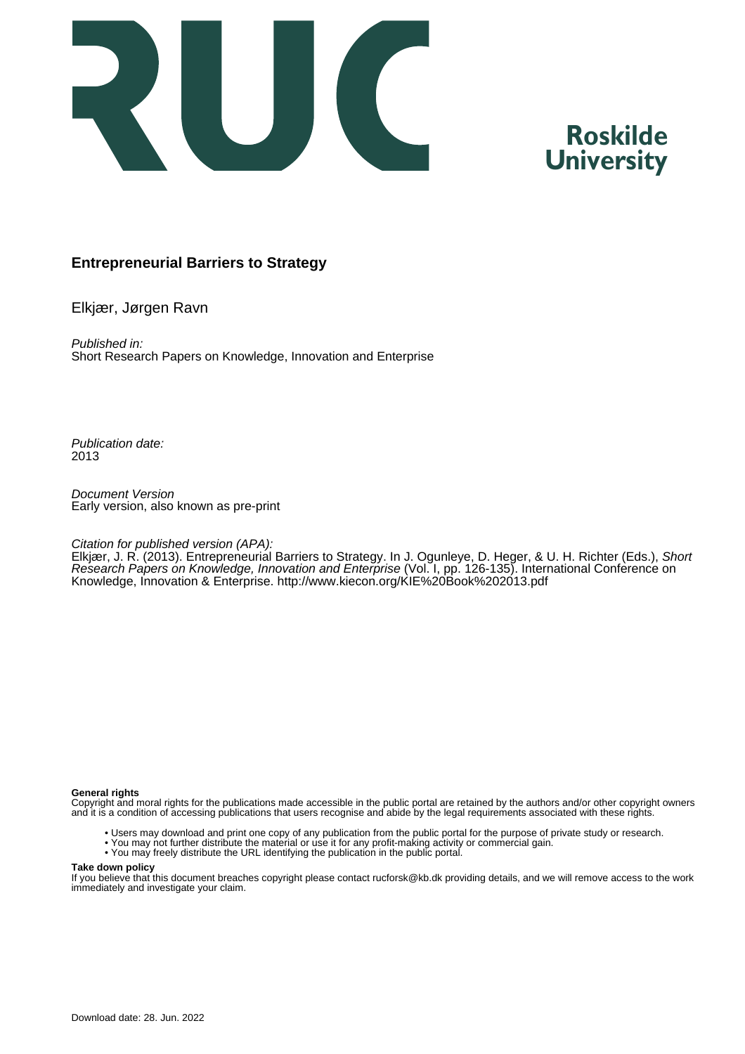

## **Roskilde University**

### **Entrepreneurial Barriers to Strategy**

Elkjær, Jørgen Ravn

Published in: Short Research Papers on Knowledge, Innovation and Enterprise

Publication date: 2013

Document Version Early version, also known as pre-print

#### Citation for published version (APA):

Elkjær, J. R. (2013). Entrepreneurial Barriers to Strategy. In J. Ogunleye, D. Heger, & U. H. Richter (Eds.), Short Research Papers on Knowledge, Innovation and Enterprise (Vol. I, pp. 126-135). International Conference on Knowledge, Innovation & Enterprise. <http://www.kiecon.org/KIE%20Book%202013.pdf>

#### **General rights**

Copyright and moral rights for the publications made accessible in the public portal are retained by the authors and/or other copyright owners and it is a condition of accessing publications that users recognise and abide by the legal requirements associated with these rights.

- Users may download and print one copy of any publication from the public portal for the purpose of private study or research.
- You may not further distribute the material or use it for any profit-making activity or commercial gain.
- You may freely distribute the URL identifying the publication in the public portal.

#### **Take down policy**

If you believe that this document breaches copyright please contact rucforsk@kb.dk providing details, and we will remove access to the work immediately and investigate your claim.